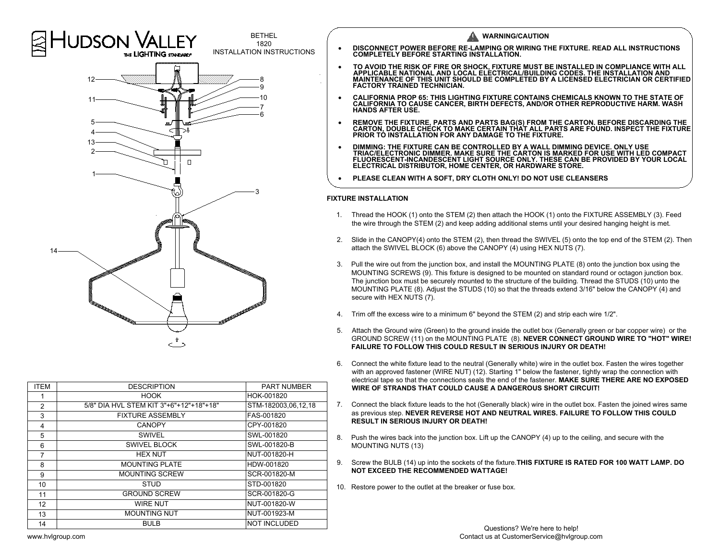

| <b>ITEM</b>    | <b>DESCRIPTION</b>                      | <b>PART NUMBER</b>  |
|----------------|-----------------------------------------|---------------------|
|                | <b>HOOK</b>                             | HOK-001820          |
| $\overline{2}$ | 5/8" DIA HVL STEM KIT 3"+6"+12"+18"+18" | STM-182003,06,12,18 |
| 3              | <b>FIXTURE ASSEMBLY</b>                 | FAS-001820          |
| 4              | <b>CANOPY</b>                           | CPY-001820          |
| 5              | SWIVEL                                  | SWL-001820          |
| 6              | SWIVEL BLOCK                            | SWL-001820-B        |
| 7              | <b>HEX NUT</b>                          | NUT-001820-H        |
| 8              | <b>MOUNTING PLATE</b>                   | HDW-001820          |
| 9              | <b>MOUNTING SCREW</b>                   | SCR-001820-M        |
| 10             | <b>STUD</b>                             | STD-001820          |
| 11             | <b>GROUND SCREW</b>                     | SCR-001820-G        |
| 12             | <b>WIRE NUT</b>                         | NUT-001820-W        |
| 13             | <b>MOUNTING NUT</b>                     | NUT-001923-M        |
| 14             | BULB                                    | <b>NOT INCLUDED</b> |
|                |                                         |                     |

- 
- 
- 
- 
- REMOVE THE FIXTURE, PARTS AND PARTS BAG(S) FROM THE CARTON. BEFORE DISCARDING THE CARTON, DOUBLE CHECK TO MAKE CERTAIN THAT ALL PARTS ARE FOUND. INSPECT THE FIXTURE PRIOR TO INSTALLATION FOR ANY DAMAGE TO THE FIXTURE.<br>
1. Thread the HOOK (1) onto the STEM (2) then attach the HOOK (1) onto the FIXTURE ASSEMBLY (3). Feed Theory of The STEM (2) then attach the HOOK (1) onto the FIXTURE ASSEMBLY (3). Feed The HOOK (1) onto the STEM (2) then
	-

- Thread the HOOK (1) onto the STEM (2) then attach the HOOK (1) onto the FIXTURE ASSEMBLY (3). Feed the wire through the STEM (2) and keep adding additional stems until your desired hanging height is met. TURE INSTALLATION<br>2. Slide in the CANOPY(4) onto the STEM (2) then attach the HOOK (1) onto the FIXTURE ASSEMBLY (3). Feed<br>2. Slide in the CANOPY(4) onto the STEM (2), then thread the SWIVEL (5) onto the top end of the STE 3. Pull the wire through the STEM (2) then attach the HOOK (1) onto the FIXTURE ASSEMBLY (3). Feed<br>the wire through the STEM (2) and keep adding additional stems until your desired hanging height is met.<br>3. Slide in the CA
- the wire through the STEM (2) and keep adding additional stems until your de<br>Slide in the CANOPY(4) onto the STEM (2), then thread the SWIVEL (5) onto<br>attach the SWIVEL BLOCK (6) above the CANOPY (4) using HEX NUTS (7).
- attach the SWIVEL BLOCK (6) above the CANOPY (4) using HEX NUTS (7).<br>Pull the wire out from the junction box, and install the MOUNTING PLATE (8) onto the junction box using the<br>MOUNTING SCREWS (9). This fixture is designed the wire through the STEM (2) and keep adding additional stems until your desired hanging height is met.<br>Slide in the CANOPY(4) onto the STEM (2), then thread the SWIVEL (5) onto the top end of the STEM (2). T<br>attach the S Slide in the CANOPY(4) onto the STEM (2), then thread the SWIVEL (5) onto the top end of the STEM (2). T<br>attach the SWIVEL BLOCK (6) above the CANOPY (4) using HEX NUTS (7).<br>Pull the wire out from the junction box, and ins MOUNTING SCREWS (9).<br>The junction box must be s<br>MOUNTING PLATE (8). Ad<br>secure with HEX NUTS (7). MOUNTING PLATE (8). Adjust the STUDS (10) so that the threads extend 3/16" below the CANOPY (4) and secure with HEX NUTS (7).<br>4. Trim off the excess wire to a minimum 6" beyond the STEM (2) and strip each wire 1/2". The junction box must be securely mounted to the structure of the building. Thread the STUDS (10) unto the MOUNTING PLATE (8). Adjust the STUDS (10) so that the threads extend 3/16" below the CANOPY (4) and secure with HEX
- 
- Trim off the excess wire to a minimum 6" beyond the STEM (2) and strip each wire 1/2".<br>Attach the Ground wire (Green) to the ground inside the outlet box (Generally green or bar copper wire) or the<br>GROUND SCREW (11) on the 5. Attach the Ground wire (Green) to the ground inside the outlet box (Generally green or bar copper wire) or the GROUND SCREW (11) on the MOUNTING PLATE (8). **NEVER CONNECT GROUND WIRE TO "HOT" WIR FAILURE TO FOLLOW THIS** Trim off the excess wire to a minimum 6" beyond the STEM (2) and strip each wire 1/2".<br>Attach the Ground wire (Green) to the ground inside the outlet box (Generally green or bar copper wire) or<br>GROUND SCREW (11) on the MOU Trim off the excess wire to a minimum 6" beyond the STEM (2) and strip each wire 1/2".<br>Attach the Ground wire (Green) to the ground inside the outlet box (Generally green or bar copper wire) or the<br>GROUND SCREW (11) on the
- Connect the white fixture lead to the neutral (Generally white) wire in the outlet box. Fasten the wires together with an approved fastener (WIRE NUT) (12). Starting 1" below the fastener, tightly wrap the connection with FAILURE TO FOLLOW THIS COULD RESULT IN SERIOUS INJURY OR DEATH!<br>6. Connect the white fixture lead to the neutral (Generally white) wire in the outlet box. Fasten the wires together<br>with an approved fastener (WIRE NUT) (12) GROUND SCREW (11) on the MOUNTING PLATE (8). NEVER CONNECT GROUND WIRE TO "HOT" W<br>FAILURE TO FOLLOW THIS COULD RESULT IN SERIOUS INJURY OR DEATH!<br>Connect the white fixture lead to the neutral (Generally white) wire in the
- WIRE OF STRANDS THAT COULD CAUSE<br>Connect the black fixture leads to the hot (G<br>as previous step. NEVER REVERSE HOT A<br>RESULT IN SERIOUS INJURY OR DEATH! electrical tape so that the connections seals the end of the fastener. MAKE SURE THERE ARE NO EX<br>WIRE OF STRANDS THAT COULD CAUSE A DANGEROUS SHORT CIRCUIT!<br>7. Connect the black fixture leads to the hot (Generally black) w as previous step. NEVER REVERSE HOT AND NEUTRAL WIRES. FAILURE TO FOLLOW THIS COULD<br>RESULT IN SERIOUS INJURY OR DEATH!<br>8. Push the wires back into the junction box. Lift up the CANOPY (4) up to the ceiling, and secure with electrical tape so that the connections seals the end of the fastener. MAKE SURE THERE ARE NO EXPOSE<br>WIRE OF STRANDS THAT COULD CAUSE A DANGEROUS SHORT CIRCUIT!<br>7. Connect the black fixture leads to the hot (Generally blac
- 
- 9. Screw the BULB (14) up into the sockets of the fixture. **THIS FIXTURE IS RATED FOR 100 WATT LAMP. DO NOT EXCEED THE RECOMMENDED WATTAGE!**
-